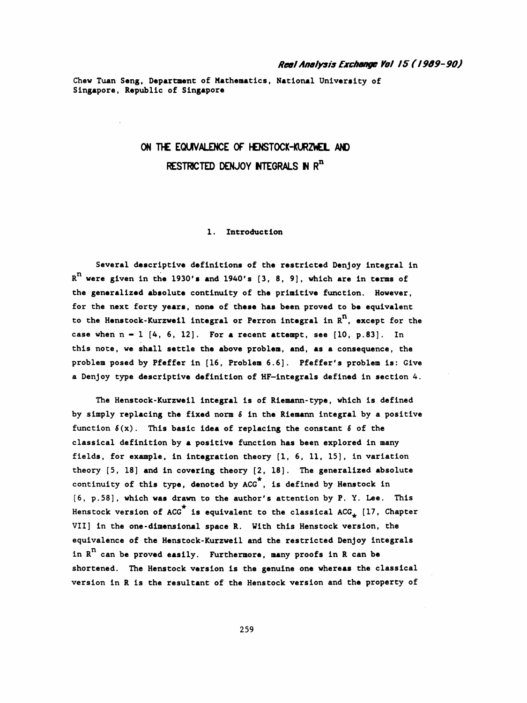## Real Analysis Exchange Vol 15 ( / 9Õ9- 90)

 Chew Tuan Seng, Department of Mathematics, National University of Singapore, Republic of Singapore

# ON THE EQUIVALENCE OF HENSTOCK-KURZWEL AND RESTRICTED DENJOY INTEGRALS IN  $R^n$

#### 1. Introduction

 Several descriptive definitions of the restricted Denjoy integral in  $R<sup>n</sup>$  were given in the 1930's and 1940's [3, 8, 9], which are in terms of the generalized absolute continuity of the primitive function. However, for the next forty years, none of these has been proved to be equivalent to the Henstock-Kurzweil integral or Perron integral in  $R^n$ , except for the case when  $n - 1$  [4, 6, 12]. For a recent attempt, see [10, p.83]. In this note, we shall settle the above problem, and, as a consequence, the problem posed by Pfeffer in [16, Problem 6.6]. Pfeffer's problem is: Give a Denjoy type descriptive definition of HF-integrals defined in section 4.

The Henstock-Kurzweil integral is of Riemann-type, which is defined by simply replacing the fixed norm  $\delta$  in the Riemann integral by a positive function  $\delta(x)$ . This basic idea of replacing the constant  $\delta$  of the classical definition by a positive function has been explored in many fields, for example, in integration theory [1, 6, 11, 15], in variation theory [5, 18] and in covering theory [2, 18]. The generalized absolute continuity of this type, denoted by ACG\*, is defined by Henstock in [6, p. 58], which was drawn to the author's attention by P. Y. Lee. This Henstock version of ACG  $^{\star}$  is equivalent to the classical ACG<sub>\*</sub> [17, Chapter VII] in the one -dimensional space R. Vith this Henstock version, the equivalence of the Henstock-Kurzweil and the restricted Denjoy integrals in  $R^n$  can be proved easily. Furthermore, many proofs in R can be shortened. The Henstock version is the genuine one whereas the classical version in R is the resultant of the Henstock version and the property of

259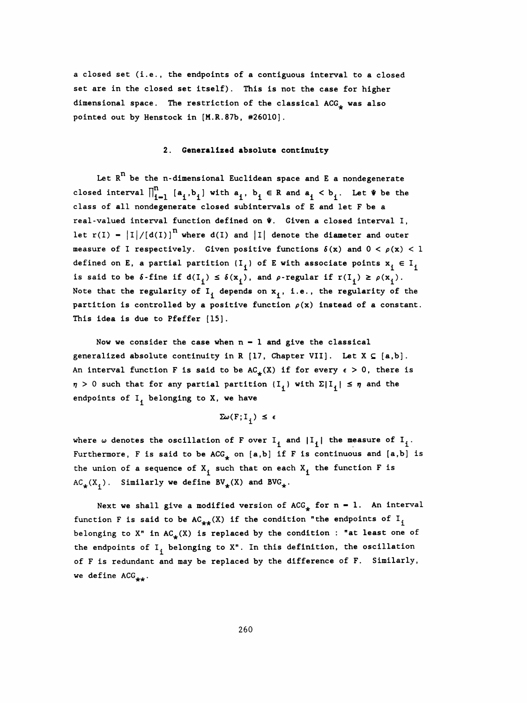a closed set (i.e., the endpoints of a contiguous interval to a closed set are in the closed set itself). This is not the case for higher dimensional space. The restriction of the classical  $ACG_{\perp}$  was also pointed out by Henstock in [M.R.87b, #26010].

#### 2. Generalized absolute continuity

Let  $R<sup>n</sup>$  be the n-dimensional Euclidean space and E a nondegenerate closed interval  $\bigcap_{i=1}^n$  [ $a_i$ , $b_i$ ] with  $a_i$ ,  $b_i \in R$  and  $a_i < b_i$ . Let  $\Psi$  be the class of all nondegenerate closed subintervals of E and let F be a real-valued interval function defined on  $\Psi$ . Given a closed interval I, let  $r(I) = |I|/(d(I))$ <sup>n</sup> where  $d(I)$  and  $|I|$  denote the diameter and outer measure of I respectively. Given positive functions  $\delta(x)$  and  $0 < \rho(x) < 1$ defined on E, a partial partition  $\{I_{i}\}\$  of E with associate points  $x_{i} \in I_{i}$ is said to be  $\delta$ -fine if  $d(I_i) \leq \delta(x^{\overline{p}})$ , and p-regular if  $r(I_i) \geq \rho(x^{\overline{p}})$ . Note that the regularity of  $I_f$  depends on  $x_f$ , i.e., the regularity of the partition is controlled by a positive function  $\rho(x)$  instead of a constant. This idea is due to Pfeffer [15].

Now we consider the case when  $n - 1$  and give the classical generalized absolute continuity in R [17, Chapter VII]. Let  $X \subseteq \{a,b\}$ . An interval function F is said to be  $AC_{+}(X)$  if for every  $\epsilon > 0$ , there is  $\eta$  > 0 such that for any partial partition  $\{I_{\mathbf{i}}\}$  with  $\Sigma |I_{\mathbf{i}}| \leq \eta$  and the endpoints of  $I_f$  belonging to X, we have

$$
\Sigma \omega(F; I_{i}) \leq \epsilon
$$

where  $\omega$  denotes the oscillation of F over I<sub>1</sub> and  $|I_{j}|$  the measure of I<sub>1</sub>. Furthermore, F is said to be  $ACG_{\downarrow}$  on [a,b] if F is continuous and [a,b] is the union of a sequence of  $X^{\dagger}$  such that on each  $X^{\dagger}$  the function F is  $AC_{\star}(X_{i})$ . Similarly we define  $BV_{\star}(X)$  and  $BVG_{\star}$ .

Next we shall give a modified version of  $ACG^*$  for n - 1. An interval function F is said to be  $AC_{++}(X)$  if the condition "the endpoints of I<sub>j</sub> belonging to X" in  $AC_{\star}(X)$  is replaced by the condition : "at least one of the endpoints of  $I_i$  belonging to  $X$ ". In this definition, the oscillation of F is redundant and may be replaced by the difference of F. Similarly, we define ACG<sub>++</sub>.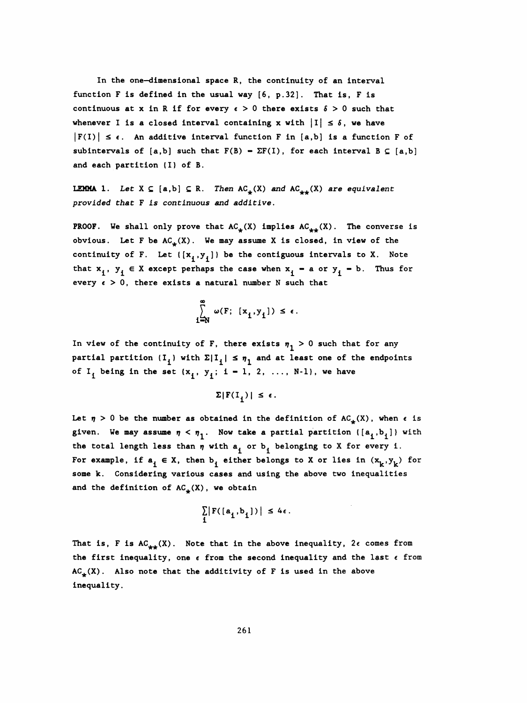In the one-dimensional space R, the continuity of an interval function F is defined in the usual way [6, p. 32]. That is, F is continuous at x in R if for every  $\epsilon > 0$  there exists  $\delta > 0$  such that whenever I is a closed interval containing x with  $|I| \leq \delta$ , we have  $|F(I)| \leq \epsilon$ . An additive interval function F in [a,b] is a function F of subintervals of  $[a,b]$  such that  $F(B) - \Sigma F(I)$ , for each interval  $B \subseteq [a,b]$ and each partition (I) of B.

**LEMMA** 1. Let  $X \subseteq [a,b] \subseteq R$ . Then  $AC_{\star}(X)$  and  $AC_{\star\star}(X)$  are equivalent provided that F is continuous and additive .

**PROOF.** We shall only prove that  $AC_{\star}(X)$  implies  $AC_{\star\star}(X)$ . The converse is obvious. Let F be  $AC_{\pm}(X)$ . We may assume X is closed, in view of the continuity of F. Let  $([x^1,y^1])$  be the contiguous intervals to X. Note that  $x^1, y^1 \in X$  except perhaps the case when  $x^1 = a$  or  $y^1 = b$ . Thus for every  $\epsilon > 0$ , there exists a natural number N such that

$$
\sum_{i=N}^{\infty} \omega(F; [x_i, y_i]) \le \epsilon.
$$

In view of the continuity of F, there exists  $\eta_1 > 0$  such that for any partial partition  $(I^+_1)$  with  $\Sigma|I^+_1| \leq \eta^+_1$  and at least one of the endpoints of  $I_i$  being in the set  ${x^i, y^i}$ ; i - 1, 2, ..., N-1}, we have

 $\Sigma|F(I_i)| \leq \epsilon$ .

Let  $\eta > 0$  be the number as obtained in the definition of  $AC_{\star}(X)$ , when  $\epsilon$  is given. We may assume  $\eta < \eta_1$ . Now take a partial partition  $\{[a^i,b^j]\}$  with the total length less than  $\eta$  with  $a_i$  or  $b_i$  belonging to X for every i. For example, if  $a^i \in X$ , then  $b^i$  either belongs to X or lies in  $(x^k, y^k)$  for some k. Considering various cases and using the above two inequalities and the definition of  $AC_{\star}(X)$ , we obtain

$$
\sum_{i} |F([a_{i}, b_{i}])| \leq 4\epsilon.
$$

That is, F is  $AC_{++}(X)$ . Note that in the above inequality,  $2\epsilon$  comes from the first inequality, one  $\epsilon$  from the second inequality and the last  $\epsilon$  from  $AC_{\perp}(X)$ . Also note that the additivity of F is used in the above inequality.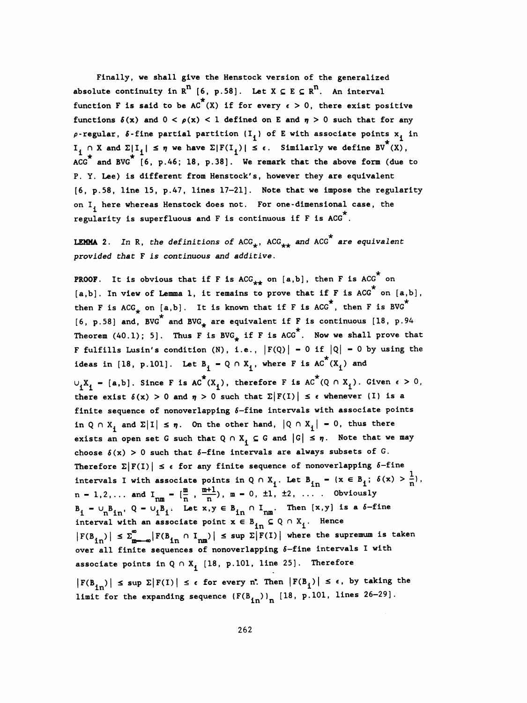Finally, we shall give the Henstock version of the generalized absolute continuity in  $R^n$  [6, p.58]. Let  $X \subseteq E \subseteq R^n$ . An interval function F is said to be AC<sup> $^{\pi}$ </sup>(X) if for every  $\epsilon > 0$ , there exist positive functions  $\delta(x)$  and  $0 < \rho(x) < 1$  defined on E and  $\eta > 0$  such that for any  $\rho$ -regular,  $\delta$ -fine partial partition  $\{I^{\vphantom{\dagger}}_i\}$  of E with associate points  $x^{\vphantom{\dagger}}_i$  in I<sub>1</sub>  $\cap$  X and  $\Sigma|I_i| \leq \eta$  we have  $\Sigma|F(I_i)| \leq \epsilon$ . Similarly we define BV<sup>^</sup>(X),<br>ACC<sup>\*</sup> and BVC<sup>\*</sup> [6  $\Box$  46: 18,  $\Box$  38]. We remark that the above form (due to ACG<sup> $\pi$ </sup> and BVG $\pi$  [6, p.46; 18, p.38]. We remark that the above form (due to P. Y. Lee) is different from Henstock's, however they are equivalent [6, p. 58, line 15, p. 47, lines 17-21]. Note that we impose the regularity on I, here whereas Henstock does not. For one-dimensional case, the regularity is superfluous and F is continuous if F is ACG . tions  $\delta(x)$  and  $0 < \rho(x) < 1$  defined on E and  $\eta > 0$  suc<br>gular,  $\delta$ -fine partial partition  $\{I_1\}$  of E with associa<br>X and  $\Sigma|I_1| \leq \eta$  we have  $\Sigma|F(I_1)| \leq \epsilon$ . Similarly we d<br>and BVG<sup>\*</sup> [6, p.46; 18, p.38]. We rema

LEMMA 2. In R, the definitions of  ${ {\rm ACC}^{\star}_{\star\star} }$  and  ${ {\rm ACC}^{\star}_{\star} }$  are equivalent provided that F is continuous and additive .

**PROOF.** It is obvious that if F is ACG<sub>\*\*</sub> on [a,b], then F is ACG<sup>\*</sup> on  $[a,b]$ . In view of Lemma 1, it remains to prove that if F is ACG<sup>\*</sup> on  $[a,b]$ , n F is ACG on<br>F is ACG<sup>\*</sup> on [a,<br>\*, then F is BVG<sup>\*</sup> provided that F is continuous and additive.<br>
PROOF. It is obvious that if F is  $ACG_{**}$  on [a,b], then F is  $ACG^*$  on [a,b],<br>
[a,b]. In view of Lemma 1, it remains to prove that if F is ACG<sup>\*</sup> on [a,b],<br>
then F is ACG<sub>\*</sub> o [6, p.58] and, BVG<sup>\*</sup> and BVG<sub>\*</sub> are equivalent if F is continuous [18, p.94] Theorem (40.1); 5]. Thus F is BVG<sub>\*</sub> if F is ACG<sup>\*</sup>. Now we shall prove that F fulfills Lusin's condition (N), i.e.,  $|F(Q)| - 0$  if  $|Q| - 0$  by using the ideas in [18, p.101]. Let  $B^{}_{1} - Q \cap X^{}_{1}$ , where F is AC<sup>\*</sup>(X<sub>1</sub>) and  $\cup_{i} X_{i}$  - [a,b]. Since F is AC<sup>\*</sup>(X<sub>i</sub>), therefore F is AC<sup>\*</sup>(Q  $\cap$  X<sub>i</sub>). Given  $\epsilon > 0$ , there exist  $\delta(x) > 0$  and  $\eta > 0$  such that  $\Sigma |F(I)| \leq \epsilon$  whenever (I) is a finite sequence of nonoverlapping  $\delta$ -fine intervals with associate points in Q  $\cap$  X<sub>i</sub> and  $\Sigma |I| \leq \eta$ . On the other hand,  $|Q \cap X_i| = 0$ , thus there exists an open set G such that  $Q \cap X^1$   $\subseteq$  G and  $|G| \leq \eta$ . Note that we may choose  $\delta(x) > 0$  such that  $\delta$ -fine intervals are always subsets of G. Therefore  $\Sigma | F(I) | \leq \epsilon$  for any finite sequence of nonoverlapping 6-fine 1 intervals I with associate points in  $\chi \sim T_{\rm i}$  =  $\sim$   $\sim$   $\frac{1}{10}$  $n = 1, 2, ...$  and  $I_{nm} = \left(\frac{m}{n}\right), \frac{m+1}{n}, m = 0, \pm 1, \pm 2, ...$  $B_i = \bigcup_{n=1}^{n} B_{i1}$ ,  $Q = \bigcup_{i=1}^{n} B_i$ . Let  $x, y \in B_{i1} \cap I_{n1}$ . Then  $[x, y]$  is a  $\delta$ -fine interval with an associate point  $x \in B_{i1} \subseteq Q \cap X_i$ . Hence  $\begin{aligned} \n\text{in } \mathbf{B}_i - \mathbf{u}_n \mathbf{B}_i, \ \mathbf{u} &= \mathbf{u}_n^T \mathbf{h} + \mathbf{u}_n^T \mathbf{h}, \ \mathbf{v} &= \mathbf{u}_n \mathbf{B}_i. \quad \text{Let } \mathbf{x}, \mathbf{y} \in \mathbf{B}_i \text{ in } \mathbf{H} \text{ in}. \quad \text{Then } [\mathbf{x}, \mathbf{y}] \text{ is a } \delta-\text{fine} \text{ and } \mathbf{v}_n^T \text{ in } \mathbf{B}_i \text{ in } \mathbf{B}_i \text{ in }$  $B_i = \cup_n B_{in}$ ,  $Q = \cup_i B_i$ . Let  $x, y \in B_{in} \cap I_{nm}$ . Then  $[x, y]$  is a  $\delta$ -fine<br>interval with an associate point  $x \in B_{in} \subseteq Q \cap X_i$ . Hence<br> $|F(B_{in})| \le \sum_{m=-\infty}^{\infty} |F(B_{in} \cap I_{nm})| \le \sup \sum |F(I)|$  where the supremum is taken<br>over all fin  $|F(B_{in})| \leq \sum_{m=-\infty}^{\infty} |F(B_{in} \cap I_{nm})| \leq \sup \sum |F(I)|$  where the supremum is taken over all finite sequences of nonoverlapping  $\delta$ -fine intervals I with associate points in  $Q \cap X^{\dagger}_{\dagger}$  [18, p. 101, line 25]. Therefore  $|F(B_{in})|$   $\leq$  sup  $\Sigma |F(I)| \leq \epsilon$  for every n. Then  $|F(B_i)| \leq \epsilon$ , by taking the limit for the expanding sequence  $(F(B_{in})^n)$  [18, p.101, lines 26-29].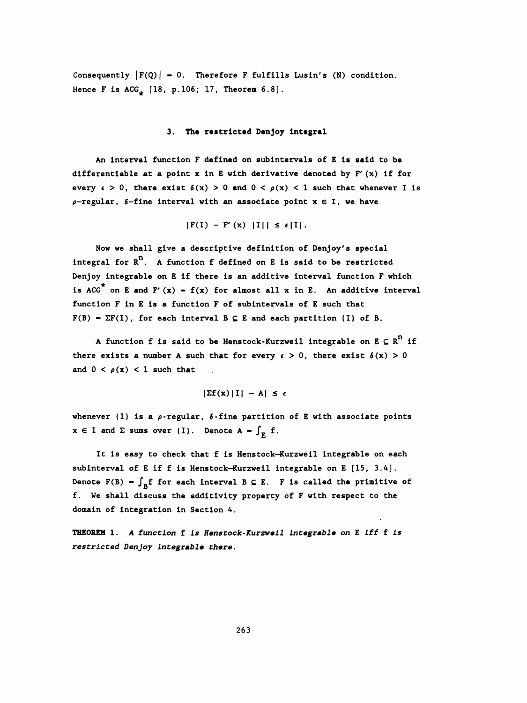Consequently  $|F(Q)| = 0$ . Therefore F fulfills Lusin's (N) condition. Hence F is  $ACG_{\downarrow}$  [18, p. 106; 17, Theorem 6.8].

### 3. The restricted Denjoy integral

An interval function F defined on subintervals of E is said to be differentiable at a point  $x$  in E with derivative denoted by  $F'(x)$  if for every  $\epsilon > 0$ , there exist  $\delta(x) > 0$  and  $0 < \rho(x) < 1$  such that whenever I is  $\rho$ -regular,  $\delta$ -fine interval with an associate point  $x \in I$ , we have

 $|F(I) - F'(x) |I|| \leq \epsilon |I|.$ 

 Now we shall give a descriptive definition of Denjoy's special integral for  $R^n$ . A function f defined on E is said to be restricted Denjoy integrable on E if there is an additive Interval function F which is ACG<sup>\*</sup> on E and F'(x) - f(x) for almost all x in E. An additive interval function F in E is a function F of subintervals of E such that  $F(B) = \Sigma F(I)$ , for each interval  $B \subseteq E$  and each partition (I) of B.

A function f is said to be Henstock-Kurzweil integrable on  $E \subseteq R^n$  if there exists a number A such that for every  $\epsilon > 0$ , there exist  $\delta(x) > 0$ and  $0 < \rho(x) < 1$  such that

$$
|\Sigma f(x) |I| - A| \leq \epsilon
$$

whenever (I) is a  $\rho$ -regular,  $\delta$ -fine partition of E with associate points  $x \in I$  and  $\Sigma$  sums over (I). Denote  $A - \int_E f$ .

 It is easy to check that f is Henstock-Kurzweil integrable on each subinterval of E if f is Henstock-Kurzweil integrable on E [15, 3.4]. Denote F(B) =  $\int_{\mathbb{R}} f$  for each interval B  $\subseteq$  E. F is called the primitive of f. We shall discuss the additivity property of F with respect to the domain of integration in Section 4.

 THEOREM 1. A function f is Henstock-Kurzweil integrable on E iff f is restricted Denjoy integrable there.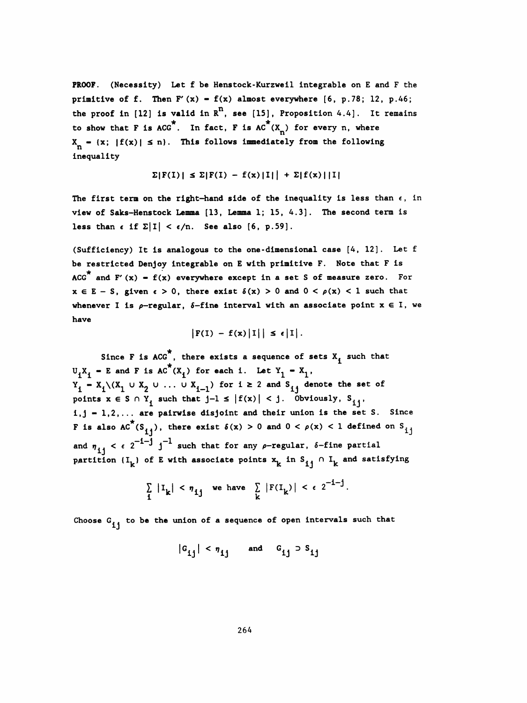PROOF. (Necessity) Let f be Henstock-Kurzweil integrable on E and F the primitive of f. Then  $F'(x) - f(x)$  almost everywhere  $[6, p.78; 12, p.46;$ the proof in [12] is valid in  $R^n$ , see [15], Proposition 4.4]. It remains to show that F is ACG<sup>\*</sup>. In fact, F is AC<sup>\*</sup>(X<sub>n</sub>) for every n, where **PROOF.** (Necessity) Let f be Henstock-Kurzweil integrable on E and F the primitive of f. Then F'(x) = f(x) almost everywhere [6, p.78; 12, p.46; the proof in [12] is valid in R<sup>n</sup>, see [15], Proposition 4.4]. It remains primitive of f. Then F'(x) - f(x) almost everywhere [6, p.78; 12, p.46;<br>the proof in [12] is valid in R<sup>n</sup>, see [15], Proposition 4.4]. It remains<br>to show that F is ACG<sup>\*</sup>. In fact, F is AC<sup>\*</sup>(X<sub>n</sub>) for every n, where<br>X<sub>n</sub> inequality

$$
\Sigma|F(I)| \leq \Sigma|F(I) - f(x)|I|| + \Sigma|f(x)||I|
$$

The first term on the right-hand side of the inequality is less than  $\epsilon$ , in view of Saks-Henstock Lemma [13, Lemma 1; 15, 4.3]. The second term is less than  $\epsilon$  if  $\Sigma |I| < \epsilon/n$ . See also [6, p.59].

 (Sufficiency) It is analogous to the one -dimensional case [4, 12] . Let f be restricted Denjoy integrable on E with primitive F. Note that F is ACG<sup>\*</sup> and F' (x) - f(x) everywhere except in a set S of measure zero. For  $x \in E - S$ , given  $\epsilon > 0$ , there exist  $\delta(x) > 0$  and  $0 < \rho(x) < 1$  such that whenever I is  $\rho$ -regular,  $\delta$ -fine interval with an associate point  $x \in I$ , we have

$$
|F(I) - f(x)|I|| \leq \epsilon |I|.
$$

 ★ Since  $\mathbf{r}$  is and , there exists a seduence or sets  $\mathbf{v}^{\mathbf{t}}$  su  $U_iX_i$  - E and F is  $AC^*(X_i)$  for each i. Let  $Y_1 - X_1$ ,  $Y_i - X_i \setminus (X_1 \cup X_2 \cup \ldots \cup X_{i-1})$  for  $i \ge 2$  and  $S_{ij}$  denote the set of points  $x \in S \cap Y_i$  such that  $j-1 \le |f(x)| < j$ . Obviously,  $S_{i,j}$ ,  $i,j = 1,2,...$  are pairwise disjoint and their union is the set S. Since F is also  $AC^*(S_{i,j})$ , there exist  $\delta(x) > 0$  and  $0 < \rho(x) < 1$  defined on  $S_{i,j}$ and  $\eta_{i,j} < \epsilon 2^{-1-j} j^{-1}$  such that for any  $\rho$ -regular,  $\delta$ -fine partial partition  $(I_k)$  of E with associate points  $x^k$  in  $S_{i,j} \cap I_k$  and satisfying

$$
\sum_{i} |I_{k}| < \eta_{ij} \text{ we have } \sum_{k} |F(I_{k})| < \epsilon 2^{-i-j}.
$$

Choose  $G_{i,j}$  to be the union of a sequence of open intervals such that

$$
|\mathbf{G}_{ij}| < \eta_{ij} \quad \text{and} \quad \mathbf{G}_{ij} \supset \mathbf{S}_{ij}
$$

264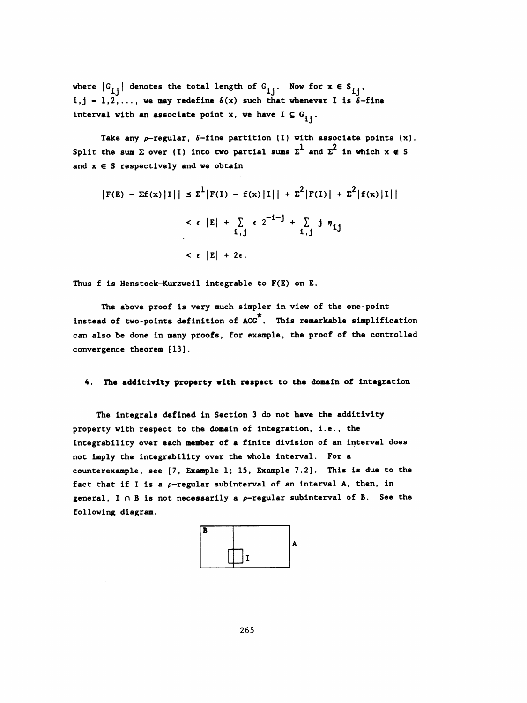where  $|G_{i,j}|$  denotes the total length of  $G_{i,j}$ . Now for  $x \in S_{i,j}$ ,  $i,j = 1,2,...$ , we may redefine  $\delta(x)$  such that whenever I is  $\delta$ -fine interval with an associate point x, we have  $I \subseteq G_{ij}$ .

Take any  $\rho$ -regular,  $\delta$ -fine partition (I) with associate points (x). Take any  $\rho$ -regular,  $\delta$ -fine partition (I) with associate points (x<br>Split the sum  $\Sigma$  over (I) into two partial sums  $\Sigma^1$  and  $\Sigma^2$  in which  $x \notin S$ and  $x \in S$  respectively and we obtain

$$
|F(E) - \Sigma f(x) |I|| \le \Sigma^1 |F(I) - f(x) |I|| + \Sigma^2 |F(I)| + \Sigma^2 |f(x) |I||
$$
  

$$
< \epsilon |E| + \sum_{i,j} \epsilon 2^{-i-j} + \sum_{i,j} j \eta_{ij}
$$
  

$$
< \epsilon |E| + 2\epsilon.
$$

Thus  $f$  is Henstock-Kurzweil integrable to  $F(E)$  on  $E$ .

The above proof is very much simpler in view of the one-point instead of two-points definition of ACG\*. This remarkable simplification can also be done in many proofs, for example, the proof of the controlled convergence theorem [13].

#### 4. The additlvlty property with respect to the domain of integration

The integrals defined in Section 3 do not have the additivity property with respect to the domain of integration, i.e., the integrability over each member of a finite division of an interval does not imply the integrability over the whole interval. For a counterexample, see [7, Example 1; 15, Example 7.2]. This is due to the fact that if I is a  $\rho$ -regular subinterval of an interval A, then, in general,  $I \cap B$  is not necessarily a  $\rho$ -regular subinterval of B. See the following diagram.

 B A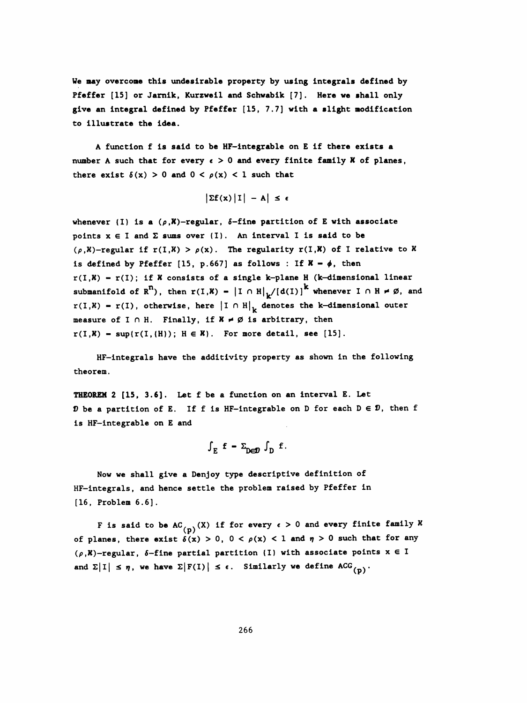Ve may overcome this undesirable property by using integrals defined by Pfeffer [IS] or Jarnik, Kurzweil and Schwabik [7]. Here we shall only give an integral defined by Pfeffer [15, 7.7] with a slight modification to Illustrate the idea.

 A function f is said to be HF-integrable on E if there exists a number A such that for every  $\epsilon > 0$  and every finite family  $X$  of planes, there exist  $\delta(x) > 0$  and  $0 < \rho(x) < 1$  such that

$$
\left|\Sigma f(x)\right|1\big| - A\big| \leq \epsilon
$$

whenever (I) is a  $(\rho, X)$ -regular,  $\delta$ -fine partition of E with associate points  $x \in I$  and  $\Sigma$  sums over  $\{I\}$ . An interval I is said to be  $(\rho,K)$ -regular if  $r(I,K) > \rho(x)$ . The regularity  $r(I,K)$  of I relative to  $K$ is defined by Pfeffer [15, p.667] as follows : If  $X - \phi$ , then  $r(I,K) = r(I)$ ; if  $K$  consists of a single k-plane H (k-dimensional linear submanifold of  $R^n$ ), then  $r(I,K) - |I \cap H|_k / [d(I)]^k$  whenever  $I \cap H \neq \emptyset$ , and  $r(I,K) = r(I)$ , otherwise, here  $|I \cap H|_L$  denotes the k-dimensional outer measure of I  $\cap$  H. Finally, if  $X \neq \emptyset$  is arbitrary, then  $r(I,K) = \sup\{r(I,(H))\}; H \in K\}.$  For more detail, see [15].

 HF-integrals have the additivity property as shown in the following theorem.

 THEOREM 2 [15, 3.6]. Let f be a function on an interval E. Let D be a partition of E. If f is HF-integrable on D for each  $D \in \mathcal{D}$ , then f is HF-integrable on E and

$$
\int_E f - \Sigma_{\text{D}} f \cdot f.
$$

 Now we shall give a Denjoy type descriptive definition of HF-integrals, and hence settle the problem raised by Pfeffer in [16, Problem 6.6] .

F is said to be AC<sub>(p)</sub>(X) if for every  $\epsilon > 0$  and every finite family X of planes, there exist  $\delta(x) > 0$ ,  $0 < \rho(x) < 1$  and  $\eta > 0$  such that for any  $(\rho, K)$ -regular, 6-fine partial partition (I) with associate points  $x \in I$ and  $\Sigma |I| \leq \eta$ , we have  $\Sigma |F(I)| \leq \epsilon$ . Similarly we define ACG<sub>(n)</sub>.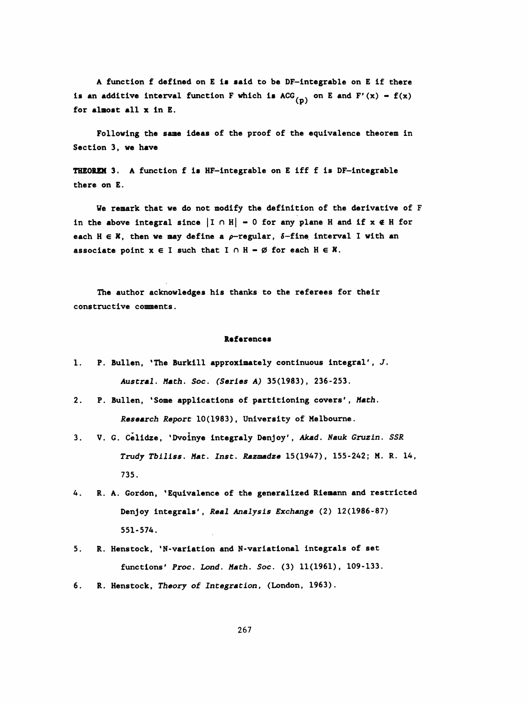A function f defined on E is said to be DF-integrable on E if there is an additive interval function F which is  $ACG^{\dagger}_{(n)}$  on E and F'(x) - f(x) for almost all x in E.

 Following the sane ideas of the proof of the equivalence theorem in Section 3, we have

THEOREM 3. A function f is HF-integrable on E iff f is DF-integrable there on E.

 We remark that we do not modify the definition of the derivative of F in the above integral since  $|I \cap H| - 0$  for any plane H and if  $x \notin H$  for each  $H \in X$ , then we may define a  $\rho$ -regular,  $\delta$ -fine interval I with an associate point  $x \in I$  such that  $I \cap H - \emptyset$  for each  $H \in X$ .

 The author acknowledges his thanks to the referees for their constructive comments.

#### References

- 1. P. Bullen, 'The Burkill approximately continuous integral', J. Austral. Math. Soc. (Series A) 35(1983), 236-253.
- 2. P. Bullen, 'Some applications of partitioning covers', Math. Research Report 10(1983), University of Melbourne.
- 3. V. G. Celidze, 'Dvoinye integraly Denjoy', Akad. Nauk Gruzin. SSR Trudy Tbiliss. Mat. Inst. Razmadze 15(1947), 155-242; M. R. 14, 735.
- 4. R. A. Gordon, 'Equivalence of the generalized Riemann and restricted Denjoy integrals', Real Analysis Exchange (2) 12(1986-87) 551-574.
- 5. R. Henstock, 'N- variation and N-variatlonal integrals of set functions' Proc. Lond. Math. Soc. (3) 11(1961), 109-133.
- 6. R. Henstock, Theory of Integration, (London, 1963).